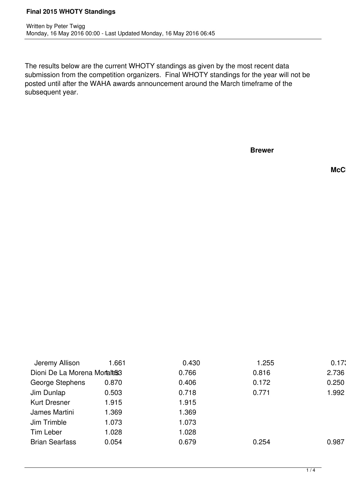The results below are the current WHOTY standings as given by the most recent data submission from the competition organizers. Final WHOTY standings for the year will not be posted until after the WAHA awards announcement around the March timeframe of the subsequent year.

**Brewer**

**McC** 

| Jeremy Allison              | 1.661 | 0.430 | .255  | 0.173 |
|-----------------------------|-------|-------|-------|-------|
| Dioni De La Morena Moraless |       | 0.766 | 0.816 | 2.736 |
| George Stephens             | 0.870 | 0.406 | 0.172 | 0.250 |
| Jim Dunlap                  | 0.503 | 0.718 | 0.771 | 1.992 |
| <b>Kurt Dresner</b>         | 1.915 | 1.915 |       |       |
| James Martini               | 1.369 | 1.369 |       |       |
| Jim Trimble                 | 1.073 | 1.073 |       |       |
| Tim Leber                   | 1.028 | 1.028 |       |       |
| <b>Brian Searfass</b>       | 0.054 | 0.679 | 0.254 | 0.987 |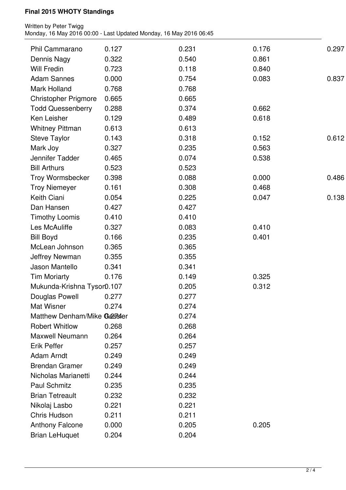| Phil Cammarano                          | 0.127 | 0.231 | 0.176 | 0.297 |
|-----------------------------------------|-------|-------|-------|-------|
| Dennis Nagy                             | 0.322 | 0.540 | 0.861 |       |
| <b>Will Fredin</b>                      | 0.723 | 0.118 | 0.840 |       |
| <b>Adam Sannes</b>                      | 0.000 | 0.754 | 0.083 | 0.837 |
| Mark Holland                            | 0.768 | 0.768 |       |       |
| <b>Christopher Prigmore</b>             | 0.665 | 0.665 |       |       |
|                                         | 0.288 | 0.374 | 0.662 |       |
| <b>Todd Quessenberry</b><br>Ken Leisher | 0.129 | 0.489 | 0.618 |       |
|                                         |       |       |       |       |
| <b>Whitney Pittman</b>                  | 0.613 | 0.613 |       |       |
| <b>Steve Taylor</b>                     | 0.143 | 0.318 | 0.152 | 0.612 |
| Mark Joy                                | 0.327 | 0.235 | 0.563 |       |
| Jennifer Tadder                         | 0.465 | 0.074 | 0.538 |       |
| <b>Bill Arthurs</b>                     | 0.523 | 0.523 |       |       |
| Troy Wormsbecker                        | 0.398 | 0.088 | 0.000 | 0.486 |
| <b>Troy Niemeyer</b>                    | 0.161 | 0.308 | 0.468 |       |
| Keith Ciani                             | 0.054 | 0.225 | 0.047 | 0.138 |
| Dan Hansen                              | 0.427 | 0.427 |       |       |
| <b>Timothy Loomis</b>                   | 0.410 | 0.410 |       |       |
| Les McAuliffe                           | 0.327 | 0.083 | 0.410 |       |
| <b>Bill Boyd</b>                        | 0.166 | 0.235 | 0.401 |       |
| McLean Johnson                          | 0.365 | 0.365 |       |       |
| <b>Jeffrey Newman</b>                   | 0.355 | 0.355 |       |       |
| Jason Mantello                          | 0.341 | 0.341 |       |       |
| <b>Tim Moriarty</b>                     | 0.176 | 0.149 | 0.325 |       |
| Mukunda-Krishna Tysor0.107              |       | 0.205 | 0.312 |       |
| Douglas Powell                          | 0.277 | 0.277 |       |       |
| <b>Mat Wisner</b>                       | 0.274 | 0.274 |       |       |
| Matthew Denham/Mike Gester              |       | 0.274 |       |       |
| <b>Robert Whitlow</b>                   | 0.268 | 0.268 |       |       |
| <b>Maxwell Neumann</b>                  | 0.264 | 0.264 |       |       |
| <b>Erik Peffer</b>                      | 0.257 | 0.257 |       |       |
| Adam Arndt                              | 0.249 | 0.249 |       |       |
| <b>Brendan Gramer</b>                   | 0.249 | 0.249 |       |       |
| Nicholas Marianetti                     | 0.244 | 0.244 |       |       |
| Paul Schmitz                            | 0.235 | 0.235 |       |       |
| <b>Brian Tetreault</b>                  |       |       |       |       |
|                                         | 0.232 | 0.232 |       |       |
| Nikolaj Lasbo                           | 0.221 | 0.221 |       |       |
| Chris Hudson                            | 0.211 | 0.211 |       |       |
| <b>Anthony Falcone</b>                  | 0.000 | 0.205 | 0.205 |       |
| <b>Brian LeHuquet</b>                   | 0.204 | 0.204 |       |       |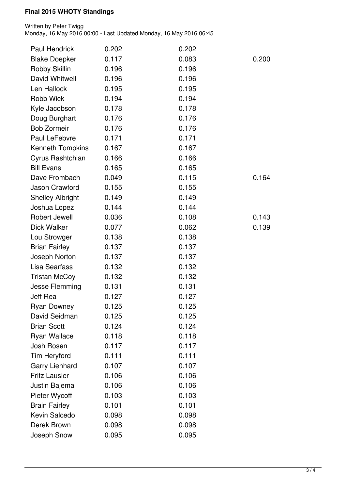| <b>Paul Hendrick</b>    | 0.202 | 0.202 |       |
|-------------------------|-------|-------|-------|
| <b>Blake Doepker</b>    | 0.117 | 0.083 | 0.200 |
| Robby Skillin           | 0.196 | 0.196 |       |
| David Whitwell          | 0.196 | 0.196 |       |
| Len Hallock             | 0.195 | 0.195 |       |
| Robb Wick               | 0.194 | 0.194 |       |
| Kyle Jacobson           | 0.178 | 0.178 |       |
| Doug Burghart           | 0.176 | 0.176 |       |
| <b>Bob Zormeir</b>      | 0.176 | 0.176 |       |
| Paul LeFebvre           | 0.171 | 0.171 |       |
| <b>Kenneth Tompkins</b> | 0.167 | 0.167 |       |
| Cyrus Rashtchian        | 0.166 | 0.166 |       |
| <b>Bill Evans</b>       | 0.165 | 0.165 |       |
| Dave Frombach           | 0.049 | 0.115 | 0.164 |
| Jason Crawford          | 0.155 | 0.155 |       |
| <b>Shelley Albright</b> | 0.149 | 0.149 |       |
| Joshua Lopez            | 0.144 | 0.144 |       |
| Robert Jewell           | 0.036 | 0.108 | 0.143 |
| <b>Dick Walker</b>      | 0.077 | 0.062 | 0.139 |
| Lou Strowger            | 0.138 | 0.138 |       |
| <b>Brian Fairley</b>    | 0.137 | 0.137 |       |
| Joseph Norton           | 0.137 | 0.137 |       |
| <b>Lisa Searfass</b>    | 0.132 | 0.132 |       |
| <b>Tristan McCoy</b>    | 0.132 | 0.132 |       |
| Jesse Flemming          | 0.131 | 0.131 |       |
| Jeff Rea                | 0.127 | 0.127 |       |
| <b>Ryan Downey</b>      | 0.125 | 0.125 |       |
| David Seidman           | 0.125 | 0.125 |       |
| <b>Brian Scott</b>      | 0.124 | 0.124 |       |
| <b>Ryan Wallace</b>     | 0.118 | 0.118 |       |
| Josh Rosen              | 0.117 | 0.117 |       |
| <b>Tim Heryford</b>     | 0.111 | 0.111 |       |
| <b>Garry Lienhard</b>   | 0.107 | 0.107 |       |
| <b>Fritz Lausier</b>    | 0.106 | 0.106 |       |
| Justin Bajema           | 0.106 | 0.106 |       |
| Pieter Wycoff           | 0.103 | 0.103 |       |
| <b>Brain Fairley</b>    | 0.101 | 0.101 |       |
| Kevin Salcedo           | 0.098 | 0.098 |       |
| Derek Brown             | 0.098 | 0.098 |       |
| Joseph Snow             | 0.095 | 0.095 |       |
|                         |       |       |       |